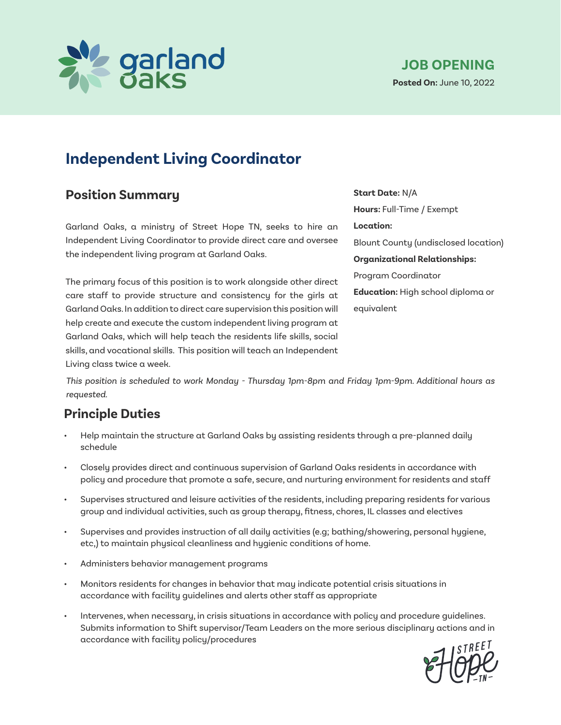

## **Position Summary**

Garland Oaks, a ministry of Street Hope TN, seeks to hire an Independent Living Coordinator to provide direct care and oversee the independent living program at Garland Oaks.

The primary focus of this position is to work alongside other direct care staff to provide structure and consistency for the girls at Garland Oaks. In addition to direct care supervision this position will help create and execute the custom independent living program at Garland Oaks, which will help teach the residents life skills, social skills, and vocational skills. This position will teach an Independent Living class twice a week.

**Start Date:** N/A **Hours:** Full-Time / Exempt **Location:**  Blount County (undisclosed location) **Organizational Relationships:**  Program Coordinator **Education:** High school diploma or equivalent

*This position is scheduled to work Monday - Thursday 1pm-8pm and Friday 1pm-9pm. Additional hours as requested.*

### **Principle Duties**

- Help maintain the structure at Garland Oaks by assisting residents through a pre-planned daily schedule
- Closely provides direct and continuous supervision of Garland Oaks residents in accordance with policy and procedure that promote a safe, secure, and nurturing environment for residents and staff
- Supervises structured and leisure activities of the residents, including preparing residents for various group and individual activities, such as group therapy, fitness, chores, IL classes and electives
- Supervises and provides instruction of all daily activities (e.g; bathing/showering, personal hygiene, etc,) to maintain physical cleanliness and hygienic conditions of home.
- Administers behavior management programs
- Monitors residents for changes in behavior that may indicate potential crisis situations in accordance with facility guidelines and alerts other staff as appropriate
- Intervenes, when necessary, in crisis situations in accordance with policy and procedure guidelines. Submits information to Shift supervisor/Team Leaders on the more serious disciplinary actions and in accordance with facility policy/procedures

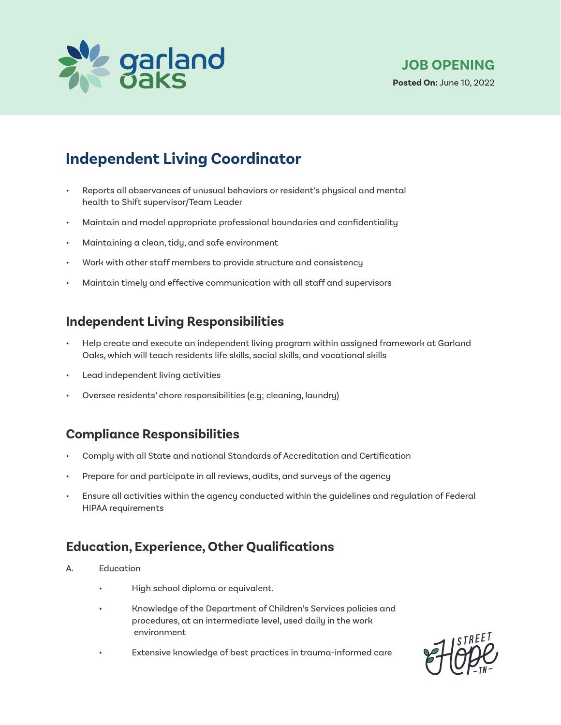

- Reports all observances of unusual behaviors or resident's physical and mental health to Shift supervisor/Team Leader
- Maintain and model appropriate professional boundaries and confidentiality
- Maintaining a clean, tidy, and safe environment
- Work with other staff members to provide structure and consistency
- Maintain timely and effective communication with all staff and supervisors

#### **Independent Living Responsibilities**

- Help create and execute an independent living program within assigned framework at Garland Oaks, which will teach residents life skills, social skills, and vocational skills
- Lead independent living activities
- Oversee residents' chore responsibilities (e.g; cleaning, laundry)

#### **Compliance Responsibilities**

- Comply with all State and national Standards of Accreditation and Certification
- Prepare for and participate in all reviews, audits, and surveys of the agency
- Ensure all activities within the agency conducted within the guidelines and regulation of Federal HIPAA requirements

### **Education, Experience, Other Qualifications**

- A. Education
	- High school diploma or equivalent.
	- Knowledge of the Department of Children's Services policies and procedures, at an intermediate level, used daily in the work environment
	- Extensive knowledge of best practices in trauma-informed care

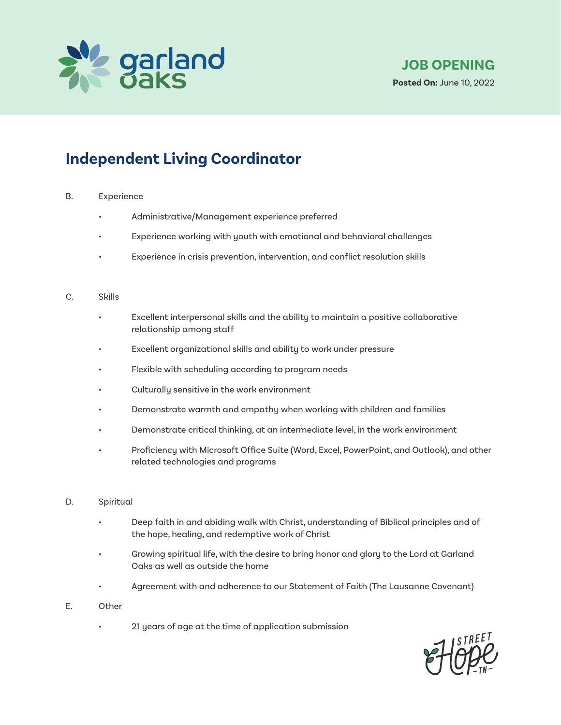

#### B. Experience

- Administrative/Management experience preferred
- Experience working with youth with emotional and behavioral challenges
- Experience in crisis prevention, intervention, and conflict resolution skills

#### C. Skills

- Excellent interpersonal skills and the ability to maintain a positive collaborative relationship among staff
- Excellent organizational skills and ability to work under pressure
- Flexible with scheduling according to program needs
- Culturally sensitive in the work environment
- Demonstrate warmth and empathy when working with children and families
- Demonstrate critical thinking, at an intermediate level, in the work environment
- Proficiency with Microsoft Office Suite (Word, Excel, PowerPoint, and Outlook), and other related technologies and programs
- D. Spiritual
	- Deep faith in and abiding walk with Christ, understanding of Biblical principles and of the hope, healing, and redemptive work of Christ
	- Growing spiritual life, with the desire to bring honor and glory to the Lord at Garland Oaks as well as outside the home
	- Agreement with and adherence to our Statement of Faith (The Lausanne Covenant)
- E. Other
	- 21 years of age at the time of application submission